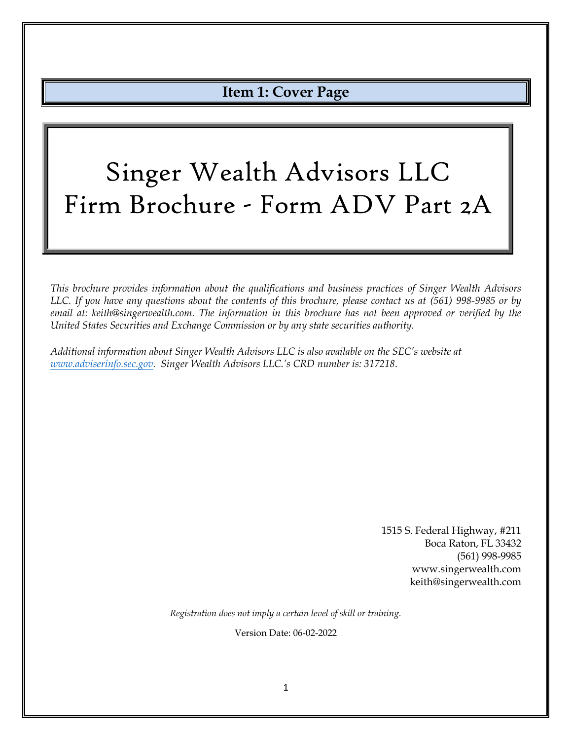# **Item 1: Cover Page**

# <span id="page-0-0"></span>Singer Wealth Advisors LLC Firm Brochure - Form ADV Part 2A

*This brochure provides information about the qualifications and business practices of Singer Wealth Advisors LLC. If you have any questions about the contents of this brochure, please contact us at (561) 998-9985 or by email at: keith@singerwealth.com. The information in this brochure has not been approved or verified by the United States Securities and Exchange Commission or by any state securities authority.*

*Additional information about Singer Wealth Advisors LLC is also available on the SEC's website at [www.adviserinfo.sec.gov.](http://www.adviserinfo.sec.gov/) Singer Wealth Advisors LLC.'s CRD number is: 317218*.

> 1515 S. Federal Highway, #211 Boca Raton, FL 33432 (561) 998-9985 www.singerwealth.com keith@singerwealth.com

*Registration does not imply a certain level of skill or training.*

Version Date: 06-02-2022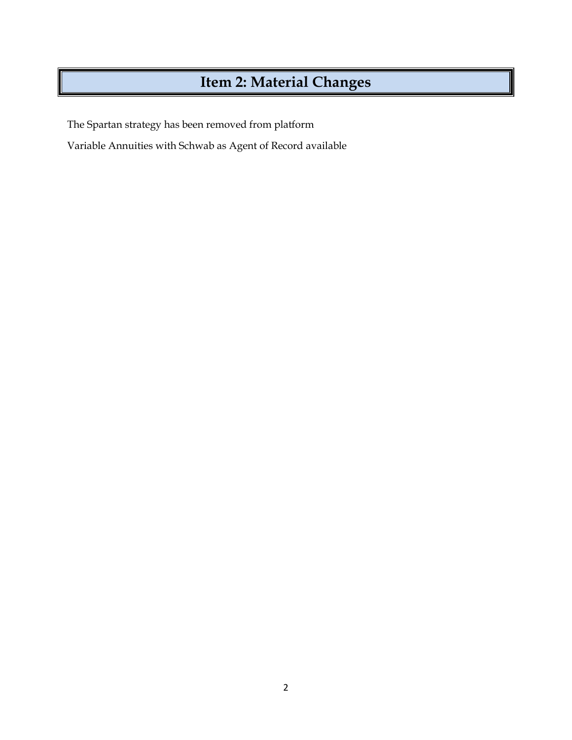# **Item 2: Material Changes**

<span id="page-1-0"></span>The Spartan strategy has been removed from platform

Variable Annuities with Schwab as Agent of Record available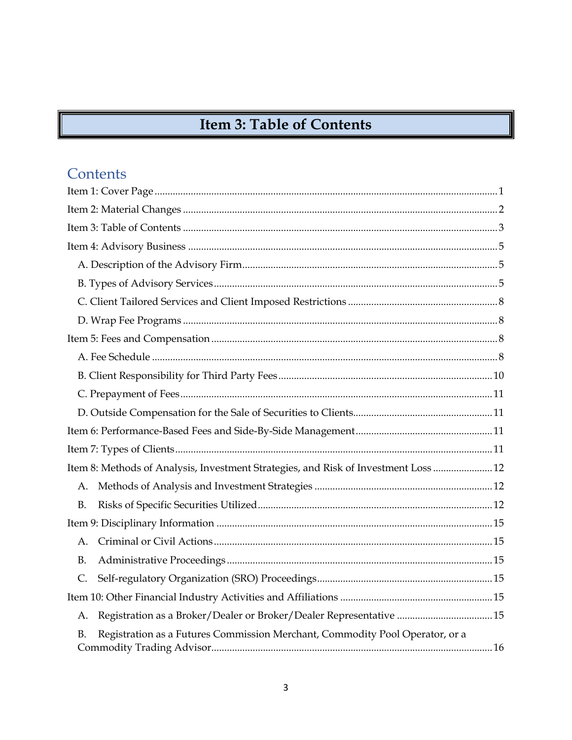# Item 3: Table of Contents

# <span id="page-2-0"></span>Contents

| Item 8: Methods of Analysis, Investment Strategies, and Risk of Investment Loss  12 |
|-------------------------------------------------------------------------------------|
| A.                                                                                  |
| <b>B.</b>                                                                           |
|                                                                                     |
| A.                                                                                  |
| <b>B.</b>                                                                           |
| C.                                                                                  |
|                                                                                     |
| Registration as a Broker/Dealer or Broker/Dealer Representative 15<br>А.            |
| Registration as a Futures Commission Merchant, Commodity Pool Operator, or a<br>B.  |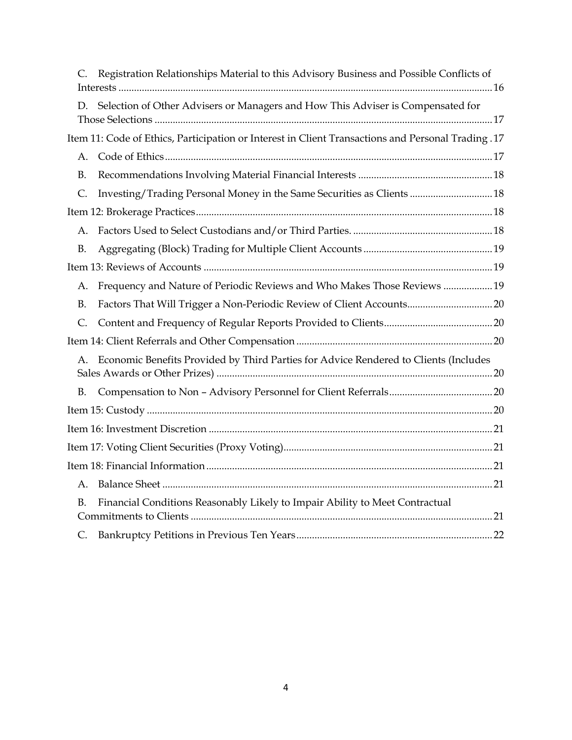|             | Registration Relationships Material to this Advisory Business and Possible Conflicts of            |  |
|-------------|----------------------------------------------------------------------------------------------------|--|
| D.          | Selection of Other Advisers or Managers and How This Adviser is Compensated for                    |  |
|             | Item 11: Code of Ethics, Participation or Interest in Client Transactions and Personal Trading .17 |  |
| A.          |                                                                                                    |  |
| B.          |                                                                                                    |  |
| C.          | Investing/Trading Personal Money in the Same Securities as Clients  18                             |  |
|             |                                                                                                    |  |
| A.          |                                                                                                    |  |
| <b>B.</b>   |                                                                                                    |  |
|             |                                                                                                    |  |
| А.          | Frequency and Nature of Periodic Reviews and Who Makes Those Reviews 19                            |  |
| <b>B.</b>   | Factors That Will Trigger a Non-Periodic Review of Client Accounts 20                              |  |
| C.          |                                                                                                    |  |
|             |                                                                                                    |  |
| А.          | Economic Benefits Provided by Third Parties for Advice Rendered to Clients (Includes               |  |
| В.          |                                                                                                    |  |
|             |                                                                                                    |  |
|             |                                                                                                    |  |
|             |                                                                                                    |  |
|             |                                                                                                    |  |
| Α.          |                                                                                                    |  |
| $B_{\cdot}$ | Financial Conditions Reasonably Likely to Impair Ability to Meet Contractual                       |  |
| C.          |                                                                                                    |  |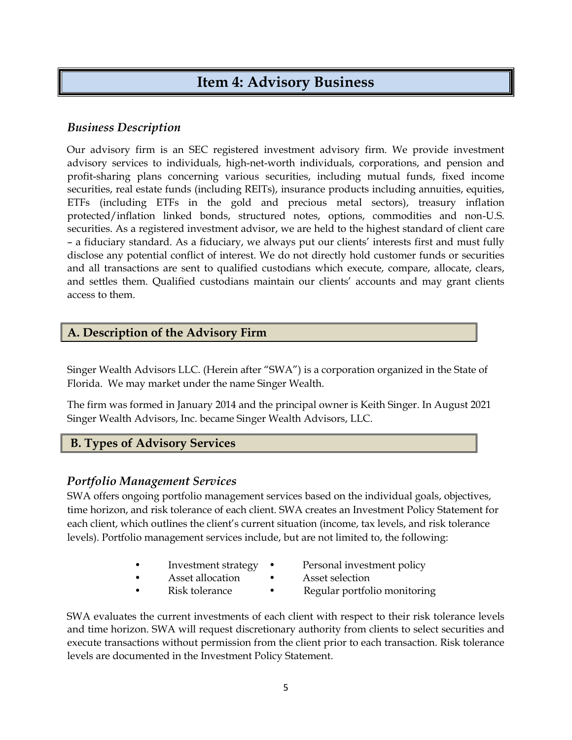# **Item 4: Advisory Business**

### <span id="page-4-0"></span>*Business Description*

Our advisory firm is an SEC registered investment advisory firm. We provide investment advisory services to individuals, high-net-worth individuals, corporations, and pension and profit-sharing plans concerning various securities, including mutual funds, fixed income securities, real estate funds (including REITs), insurance products including annuities, equities, ETFs (including ETFs in the gold and precious metal sectors), treasury inflation protected/inflation linked bonds, structured notes, options, commodities and non-U.S. securities. As a registered investment advisor, we are held to the highest standard of client care – a fiduciary standard. As a fiduciary, we always put our clients' interests first and must fully disclose any potential conflict of interest. We do not directly hold customer funds or securities and all transactions are sent to qualified custodians which execute, compare, allocate, clears, and settles them. Qualified custodians maintain our clients' accounts and may grant clients access to them.

#### <span id="page-4-1"></span>**A. Description of the Advisory Firm**

Singer Wealth Advisors LLC. (Herein after "SWA") is a corporation organized in the State of Florida. We may market under the name Singer Wealth.

The firm was formed in January 2014 and the principal owner is Keith Singer. In August 2021 Singer Wealth Advisors, Inc. became Singer Wealth Advisors, LLC.

### <span id="page-4-2"></span>**B. Types of Advisory Services**

#### *Portfolio Management Services*

SWA offers ongoing portfolio management services based on the individual goals, objectives, time horizon, and risk tolerance of each client. SWA creates an Investment Policy Statement for each client, which outlines the client's current situation (income, tax levels, and risk tolerance levels). Portfolio management services include, but are not limited to, the following:

- 
- Investment strategy Personal investment policy
- Asset allocation Asset selection
- 
- 
- Risk tolerance Regular portfolio monitoring

SWA evaluates the current investments of each client with respect to their risk tolerance levels and time horizon. SWA will request discretionary authority from clients to select securities and execute transactions without permission from the client prior to each transaction. Risk tolerance levels are documented in the Investment Policy Statement.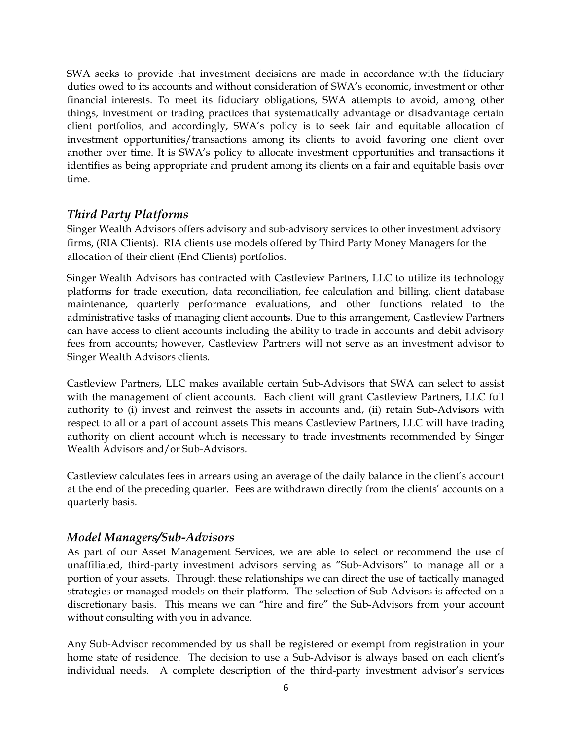SWA seeks to provide that investment decisions are made in accordance with the fiduciary duties owed to its accounts and without consideration of SWA's economic, investment or other financial interests. To meet its fiduciary obligations, SWA attempts to avoid, among other things, investment or trading practices that systematically advantage or disadvantage certain client portfolios, and accordingly, SWA's policy is to seek fair and equitable allocation of investment opportunities/transactions among its clients to avoid favoring one client over another over time. It is SWA's policy to allocate investment opportunities and transactions it identifies as being appropriate and prudent among its clients on a fair and equitable basis over time.

### *Third Party Platforms*

Singer Wealth Advisors offers advisory and sub-advisory services to other investment advisory firms, (RIA Clients). RIA clients use models offered by Third Party Money Managers for the allocation of their client (End Clients) portfolios.

Singer Wealth Advisors has contracted with Castleview Partners, LLC to utilize its technology platforms for trade execution, data reconciliation, fee calculation and billing, client database maintenance, quarterly performance evaluations, and other functions related to the administrative tasks of managing client accounts. Due to this arrangement, Castleview Partners can have access to client accounts including the ability to trade in accounts and debit advisory fees from accounts; however, Castleview Partners will not serve as an investment advisor to Singer Wealth Advisors clients.

Castleview Partners, LLC makes available certain Sub-Advisors that SWA can select to assist with the management of client accounts. Each client will grant Castleview Partners, LLC full authority to (i) invest and reinvest the assets in accounts and, (ii) retain Sub-Advisors with respect to all or a part of account assets This means Castleview Partners, LLC will have trading authority on client account which is necessary to trade investments recommended by Singer Wealth Advisors and/or Sub-Advisors.

Castleview calculates fees in arrears using an average of the daily balance in the client's account at the end of the preceding quarter. Fees are withdrawn directly from the clients' accounts on a quarterly basis.

#### *Model Managers/Sub-Advisors*

As part of our Asset Management Services, we are able to select or recommend the use of unaffiliated, third-party investment advisors serving as "Sub-Advisors" to manage all or a portion of your assets. Through these relationships we can direct the use of tactically managed strategies or managed models on their platform. The selection of Sub-Advisors is affected on a discretionary basis. This means we can "hire and fire" the Sub-Advisors from your account without consulting with you in advance.

Any Sub-Advisor recommended by us shall be registered or exempt from registration in your home state of residence. The decision to use a Sub-Advisor is always based on each client's individual needs. A complete description of the third-party investment advisor's services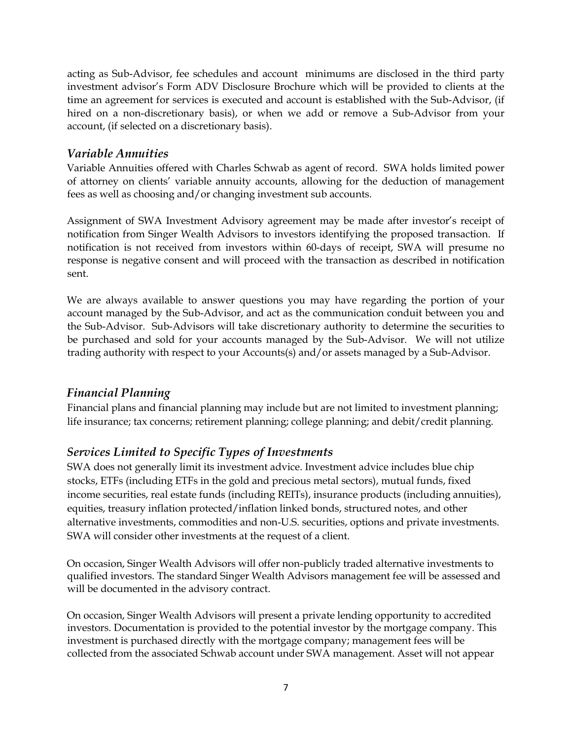acting as Sub-Advisor, fee schedules and account minimums are disclosed in the third party investment advisor's Form ADV Disclosure Brochure which will be provided to clients at the time an agreement for services is executed and account is established with the Sub-Advisor, (if hired on a non-discretionary basis), or when we add or remove a Sub-Advisor from your account, (if selected on a discretionary basis).

#### *Variable Annuities*

Variable Annuities offered with Charles Schwab as agent of record. SWA holds limited power of attorney on clients' variable annuity accounts, allowing for the deduction of management fees as well as choosing and/or changing investment sub accounts.

Assignment of SWA Investment Advisory agreement may be made after investor's receipt of notification from Singer Wealth Advisors to investors identifying the proposed transaction. If notification is not received from investors within 60-days of receipt, SWA will presume no response is negative consent and will proceed with the transaction as described in notification sent.

We are always available to answer questions you may have regarding the portion of your account managed by the Sub-Advisor, and act as the communication conduit between you and the Sub-Advisor. Sub-Advisors will take discretionary authority to determine the securities to be purchased and sold for your accounts managed by the Sub-Advisor. We will not utilize trading authority with respect to your Accounts(s) and/or assets managed by a Sub-Advisor.

### *Financial Planning*

Financial plans and financial planning may include but are not limited to investment planning; life insurance; tax concerns; retirement planning; college planning; and debit/credit planning.

### *Services Limited to Specific Types of Investments*

SWA does not generally limit its investment advice. Investment advice includes blue chip stocks, ETFs (including ETFs in the gold and precious metal sectors), mutual funds, fixed income securities, real estate funds (including REITs), insurance products (including annuities), equities, treasury inflation protected/inflation linked bonds, structured notes, and other alternative investments, commodities and non-U.S. securities, options and private investments. SWA will consider other investments at the request of a client.

On occasion, Singer Wealth Advisors will offer non-publicly traded alternative investments to qualified investors. The standard Singer Wealth Advisors management fee will be assessed and will be documented in the advisory contract.

On occasion, Singer Wealth Advisors will present a private lending opportunity to accredited investors. Documentation is provided to the potential investor by the mortgage company. This investment is purchased directly with the mortgage company; management fees will be collected from the associated Schwab account under SWA management. Asset will not appear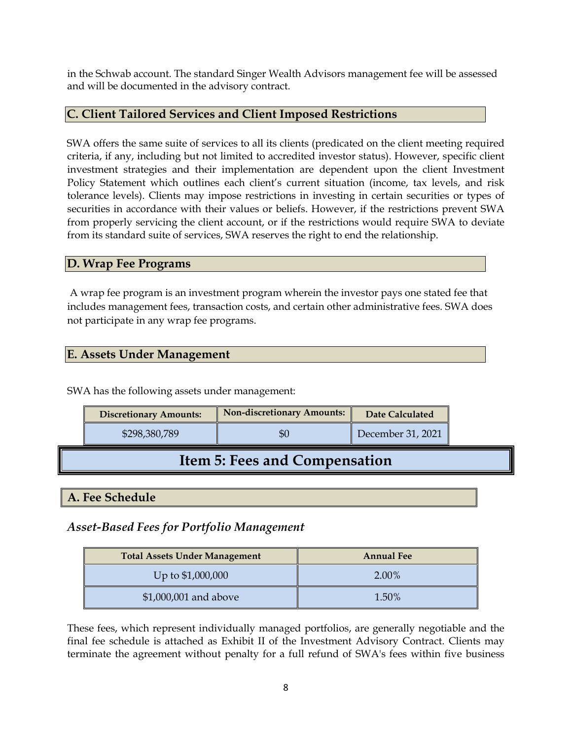in the Schwab account. The standard Singer Wealth Advisors management fee will be assessed and will be documented in the advisory contract.

#### <span id="page-7-0"></span>**C. Client Tailored Services and Client Imposed Restrictions**

SWA offers the same suite of services to all its clients (predicated on the client meeting required criteria, if any, including but not limited to accredited investor status). However, specific client investment strategies and their implementation are dependent upon the client Investment Policy Statement which outlines each client's current situation (income, tax levels, and risk tolerance levels). Clients may impose restrictions in investing in certain securities or types of securities in accordance with their values or beliefs. However, if the restrictions prevent SWA from properly servicing the client account, or if the restrictions would require SWA to deviate from its standard suite of services, SWA reserves the right to end the relationship.

#### <span id="page-7-1"></span>**D. Wrap Fee Programs**

A wrap fee program is an investment program wherein the investor pays one stated fee that includes management fees, transaction costs, and certain other administrative fees. SWA does not participate in any wrap fee programs.

#### **E. Assets Under Management**

SWA has the following assets under management:

<span id="page-7-2"></span>

| <b>Discretionary Amounts:</b> | Non-discretionary Amounts: | Date Calculated   |
|-------------------------------|----------------------------|-------------------|
| \$298,380,789                 |                            | December 31, 2021 |

# **Item 5: Fees and Compensation**

#### <span id="page-7-3"></span>**A. Fee Schedule**

# *Asset-Based Fees for Portfolio Management*

| <b>Total Assets Under Management</b> | <b>Annual Fee</b> |
|--------------------------------------|-------------------|
| Up to \$1,000,000                    | 2.00%             |
| \$1,000,001 and above                | 1.50%             |

These fees, which represent individually managed portfolios, are generally negotiable and the final fee schedule is attached as Exhibit II of the Investment Advisory Contract. Clients may terminate the agreement without penalty for a full refund of SWA's fees within five business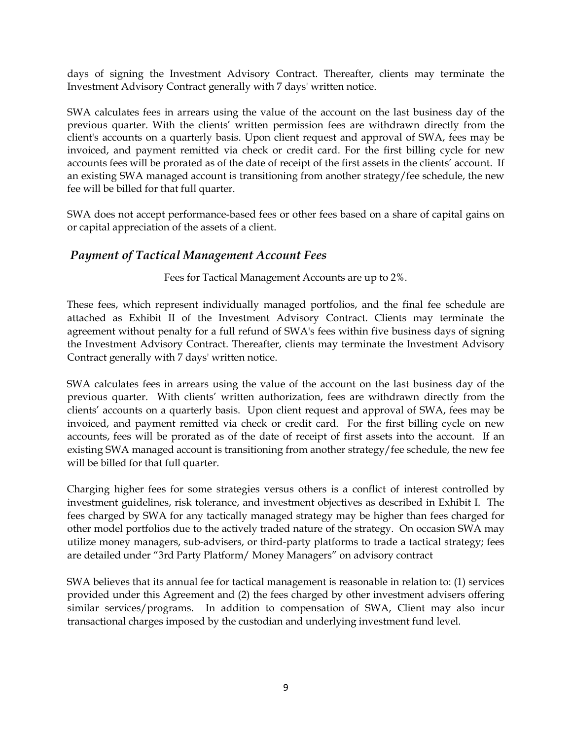days of signing the Investment Advisory Contract. Thereafter, clients may terminate the Investment Advisory Contract generally with 7 days' written notice.

SWA calculates fees in arrears using the value of the account on the last business day of the previous quarter. With the clients' written permission fees are withdrawn directly from the client's accounts on a quarterly basis. Upon client request and approval of SWA, fees may be invoiced, and payment remitted via check or credit card. For the first billing cycle for new accounts fees will be prorated as of the date of receipt of the first assets in the clients' account. If an existing SWA managed account is transitioning from another strategy/fee schedule, the new fee will be billed for that full quarter.

SWA does not accept performance-based fees or other fees based on a share of capital gains on or capital appreciation of the assets of a client.

### *Payment of Tactical Management Account Fees*

Fees for Tactical Management Accounts are up to 2%.

These fees, which represent individually managed portfolios, and the final fee schedule are attached as Exhibit II of the Investment Advisory Contract. Clients may terminate the agreement without penalty for a full refund of SWA's fees within five business days of signing the Investment Advisory Contract. Thereafter, clients may terminate the Investment Advisory Contract generally with 7 days' written notice.

SWA calculates fees in arrears using the value of the account on the last business day of the previous quarter. With clients' written authorization, fees are withdrawn directly from the clients' accounts on a quarterly basis. Upon client request and approval of SWA, fees may be invoiced, and payment remitted via check or credit card. For the first billing cycle on new accounts, fees will be prorated as of the date of receipt of first assets into the account. If an existing SWA managed account is transitioning from another strategy/fee schedule, the new fee will be billed for that full quarter.

Charging higher fees for some strategies versus others is a conflict of interest controlled by investment guidelines, risk tolerance, and investment objectives as described in Exhibit I. The fees charged by SWA for any tactically managed strategy may be higher than fees charged for other model portfolios due to the actively traded nature of the strategy. On occasion SWA may utilize money managers, sub-advisers, or third-party platforms to trade a tactical strategy; fees are detailed under "3rd Party Platform/ Money Managers" on advisory contract

SWA believes that its annual fee for tactical management is reasonable in relation to: (1) services provided under this Agreement and (2) the fees charged by other investment advisers offering similar services/programs. In addition to compensation of SWA, Client may also incur transactional charges imposed by the custodian and underlying investment fund level.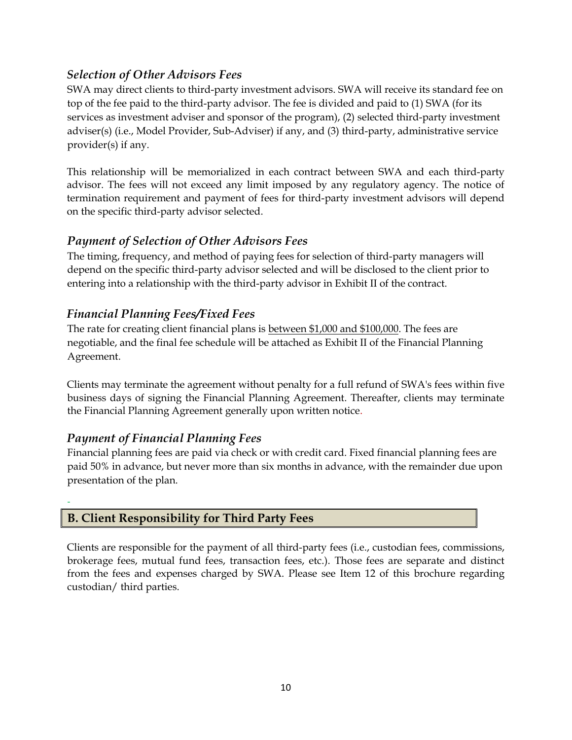# *Selection of Other Advisors Fees*

SWA may direct clients to third-party investment advisors. SWA will receive its standard fee on top of the fee paid to the third-party advisor. The fee is divided and paid to (1) SWA (for its services as investment adviser and sponsor of the program), (2) selected third-party investment adviser(s) (i.e., Model Provider, Sub-Adviser) if any, and (3) third-party, administrative service provider(s) if any.

This relationship will be memorialized in each contract between SWA and each third-party advisor. The fees will not exceed any limit imposed by any regulatory agency. The notice of termination requirement and payment of fees for third-party investment advisors will depend on the specific third-party advisor selected.

## *Payment of Selection of Other Advisors Fees*

The timing, frequency, and method of paying fees for selection of third-party managers will depend on the specific third-party advisor selected and will be disclosed to the client prior to entering into a relationship with the third-party advisor in Exhibit II of the contract.

## *Financial Planning Fees/Fixed Fees*

The rate for creating client financial plans is between \$1,000 and \$100,000. The fees are negotiable, and the final fee schedule will be attached as Exhibit II of the Financial Planning Agreement.

Clients may terminate the agreement without penalty for a full refund of SWA's fees within five business days of signing the Financial Planning Agreement. Thereafter, clients may terminate the Financial Planning Agreement generally upon written notice.

# *Payment of Financial Planning Fees*

-

Financial planning fees are paid via check or with credit card. Fixed financial planning fees are paid 50% in advance, but never more than six months in advance, with the remainder due upon presentation of the plan.

### <span id="page-9-0"></span>**B. Client Responsibility for Third Party Fees**

Clients are responsible for the payment of all third-party fees (i.e., custodian fees, commissions, brokerage fees, mutual fund fees, transaction fees, etc.). Those fees are separate and distinct from the fees and expenses charged by SWA. Please see Item 12 of this brochure regarding custodian/ third parties.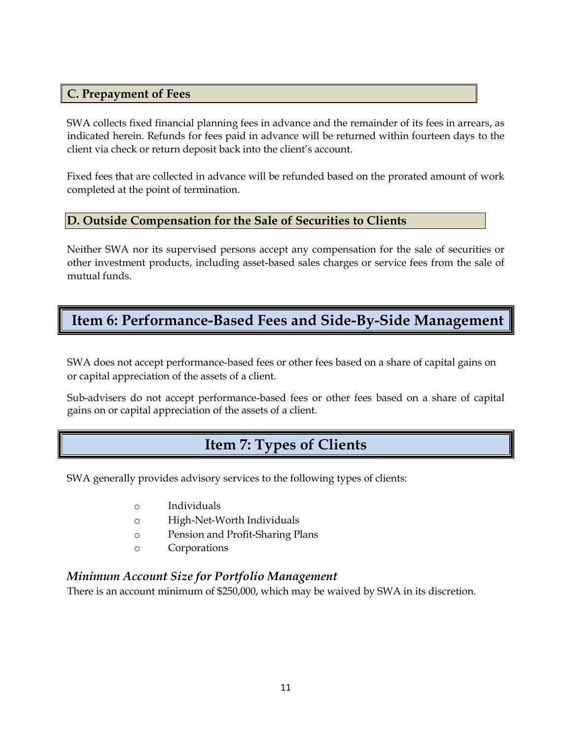#### <span id="page-10-0"></span>**C. Prepayment of Fees**

SWA collects fixed financial planning fees in advance and the remainder of its fees in arrears, as indicated herein. Refunds for fees paid in advance will be returned within fourteen days to the client via check or return deposit back into the client's account.

Fixed fees that are collected in advance will be refunded based on the prorated amount of work completed at the point of termination.

#### <span id="page-10-1"></span>**D. Outside Compensation for the Sale of Securities to Clients**

Neither SWA nor its supervised persons accept any compensation for the sale of securities or other investment products, including asset-based sales charges or service fees from the sale of mutual funds.

# <span id="page-10-2"></span>**Item 6: Performance-Based Fees and Side-By-Side Management**

SWA does not accept performance-based fees or other fees based on a share of capital gains on or capital appreciation of the assets of a client.

<span id="page-10-3"></span>Sub-advisers do not accept performance-based fees or other fees based on a share of capital gains on or capital appreciation of the assets of a client.

# **Item 7: Types of Clients**

SWA generally provides advisory services to the following types of clients:

- o Individuals
- o High-Net-Worth Individuals
- o Pension and Profit-Sharing Plans
- o Corporations

### *Minimum Account Size for Portfolio Management*

There is an account minimum of \$250,000, which may be waived by SWA in its discretion.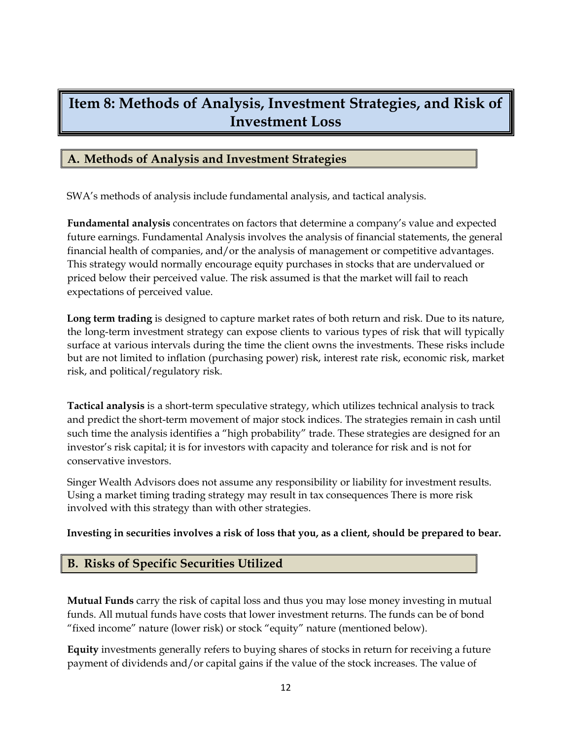# <span id="page-11-0"></span>**Item 8: Methods of Analysis, Investment Strategies, and Risk of Investment Loss**

#### <span id="page-11-1"></span>**A. Methods of Analysis and Investment Strategies**

SWA's methods of analysis include fundamental analysis, and tactical analysis.

**Fundamental analysis** concentrates on factors that determine a company's value and expected future earnings. Fundamental Analysis involves the analysis of financial statements, the general financial health of companies, and/or the analysis of management or competitive advantages. This strategy would normally encourage equity purchases in stocks that are undervalued or priced below their perceived value. The risk assumed is that the market will fail to reach expectations of perceived value.

**Long term trading** is designed to capture market rates of both return and risk. Due to its nature, the long-term investment strategy can expose clients to various types of risk that will typically surface at various intervals during the time the client owns the investments. These risks include but are not limited to inflation (purchasing power) risk, interest rate risk, economic risk, market risk, and political/regulatory risk.

**Tactical analysis** is a short-term speculative strategy, which utilizes technical analysis to track and predict the short-term movement of major stock indices. The strategies remain in cash until such time the analysis identifies a "high probability" trade. These strategies are designed for an investor's risk capital; it is for investors with capacity and tolerance for risk and is not for conservative investors.

Singer Wealth Advisors does not assume any responsibility or liability for investment results. Using a market timing trading strategy may result in tax consequences There is more risk involved with this strategy than with other strategies.

#### **Investing in securities involves a risk of loss that you, as a client, should be prepared to bear.**

#### <span id="page-11-2"></span>**B. Risks of Specific Securities Utilized**

**Mutual Funds** carry the risk of capital loss and thus you may lose money investing in mutual funds. All mutual funds have costs that lower investment returns. The funds can be of bond "fixed income" nature (lower risk) or stock "equity" nature (mentioned below).

**Equity** investments generally refers to buying shares of stocks in return for receiving a future payment of dividends and/or capital gains if the value of the stock increases. The value of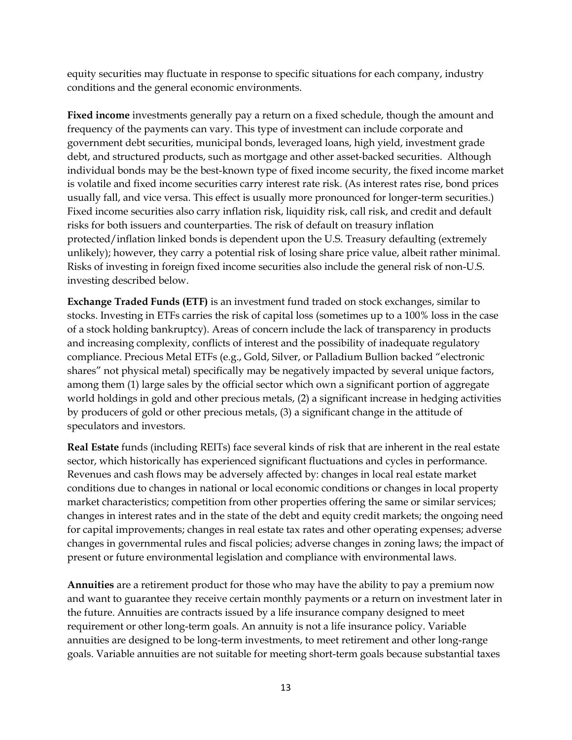equity securities may fluctuate in response to specific situations for each company, industry conditions and the general economic environments.

**Fixed income** investments generally pay a return on a fixed schedule, though the amount and frequency of the payments can vary. This type of investment can include corporate and government debt securities, municipal bonds, leveraged loans, high yield, investment grade debt, and structured products, such as mortgage and other asset-backed securities. Although individual bonds may be the best-known type of fixed income security, the fixed income market is volatile and fixed income securities carry interest rate risk. (As interest rates rise, bond prices usually fall, and vice versa. This effect is usually more pronounced for longer-term securities.) Fixed income securities also carry inflation risk, liquidity risk, call risk, and credit and default risks for both issuers and counterparties. The risk of default on treasury inflation protected/inflation linked bonds is dependent upon the U.S. Treasury defaulting (extremely unlikely); however, they carry a potential risk of losing share price value, albeit rather minimal. Risks of investing in foreign fixed income securities also include the general risk of non-U.S. investing described below.

**Exchange Traded Funds (ETF)** is an investment fund traded on stock exchanges, similar to stocks. Investing in ETFs carries the risk of capital loss (sometimes up to a 100% loss in the case of a stock holding bankruptcy). Areas of concern include the lack of transparency in products and increasing complexity, conflicts of interest and the possibility of inadequate regulatory compliance. Precious Metal ETFs (e.g., Gold, Silver, or Palladium Bullion backed "electronic shares" not physical metal) specifically may be negatively impacted by several unique factors, among them (1) large sales by the official sector which own a significant portion of aggregate world holdings in gold and other precious metals, (2) a significant increase in hedging activities by producers of gold or other precious metals, (3) a significant change in the attitude of speculators and investors.

**Real Estate** funds (including REITs) face several kinds of risk that are inherent in the real estate sector, which historically has experienced significant fluctuations and cycles in performance. Revenues and cash flows may be adversely affected by: changes in local real estate market conditions due to changes in national or local economic conditions or changes in local property market characteristics; competition from other properties offering the same or similar services; changes in interest rates and in the state of the debt and equity credit markets; the ongoing need for capital improvements; changes in real estate tax rates and other operating expenses; adverse changes in governmental rules and fiscal policies; adverse changes in zoning laws; the impact of present or future environmental legislation and compliance with environmental laws.

**Annuities** are a retirement product for those who may have the ability to pay a premium now and want to guarantee they receive certain monthly payments or a return on investment later in the future. Annuities are contracts issued by a life insurance company designed to meet requirement or other long-term goals. An annuity is not a life insurance policy. Variable annuities are designed to be long-term investments, to meet retirement and other long-range goals. Variable annuities are not suitable for meeting short-term goals because substantial taxes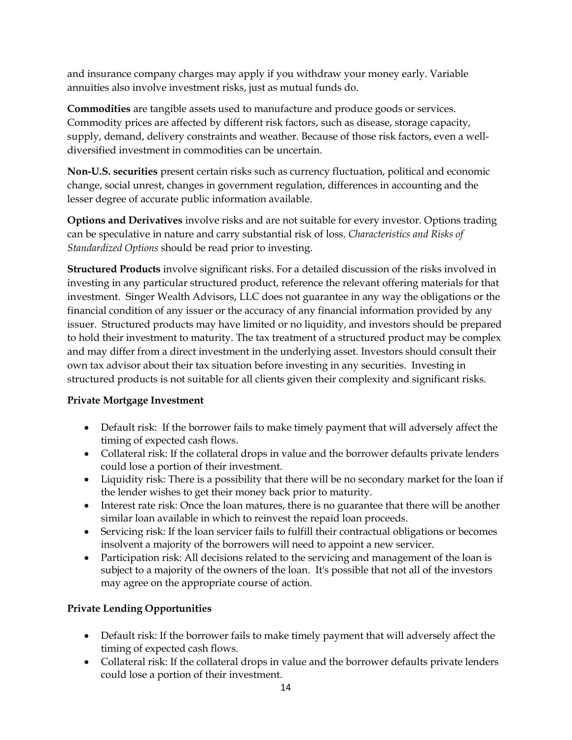and insurance company charges may apply if you withdraw your money early. Variable annuities also involve investment risks, just as mutual funds do.

**Commodities** are tangible assets used to manufacture and produce goods or services. Commodity prices are affected by different risk factors, such as disease, storage capacity, supply, demand, delivery constraints and weather. Because of those risk factors, even a welldiversified investment in commodities can be uncertain.

**Non-U.S. securities** present certain risks such as currency fluctuation, political and economic change, social unrest, changes in government regulation, differences in accounting and the lesser degree of accurate public information available.

**Options and Derivatives** involve risks and are not suitable for every investor. Options trading can be speculative in nature and carry substantial risk of loss. *Characteristics and Risks of Standardized Options* should be read prior to investing.

**Structured Products** involve significant risks. For a detailed discussion of the risks involved in investing in any particular structured product, reference the relevant offering materials for that investment. Singer Wealth Advisors, LLC does not guarantee in any way the obligations or the financial condition of any issuer or the accuracy of any financial information provided by any issuer. Structured products may have limited or no liquidity, and investors should be prepared to hold their investment to maturity. The tax treatment of a structured product may be complex and may differ from a direct investment in the underlying asset. Investors should consult their own tax advisor about their tax situation before investing in any securities. Investing in structured products is not suitable for all clients given their complexity and significant risks.

### **Private Mortgage Investment**

- Default risk: If the borrower fails to make timely payment that will adversely affect the timing of expected cash flows.
- Collateral risk: If the collateral drops in value and the borrower defaults private lenders could lose a portion of their investment.
- Liquidity risk: There is a possibility that there will be no secondary market for the loan if the lender wishes to get their money back prior to maturity.
- Interest rate risk: Once the loan matures, there is no guarantee that there will be another similar loan available in which to reinvest the repaid loan proceeds.
- Servicing risk: If the loan servicer fails to fulfill their contractual obligations or becomes insolvent a majority of the borrowers will need to appoint a new servicer.
- Participation risk: All decisions related to the servicing and management of the loan is subject to a majority of the owners of the loan. It's possible that not all of the investors may agree on the appropriate course of action.

### **Private Lending Opportunities**

- Default risk: If the borrower fails to make timely payment that will adversely affect the timing of expected cash flows.
- Collateral risk: If the collateral drops in value and the borrower defaults private lenders could lose a portion of their investment.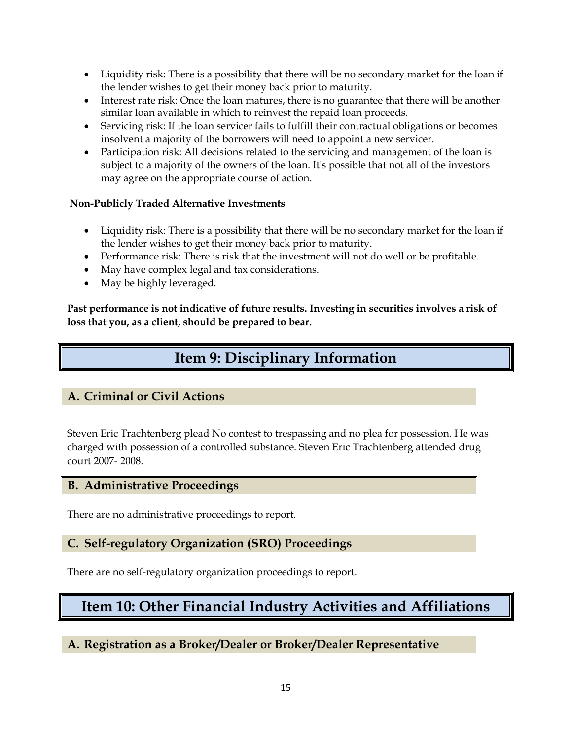- Liquidity risk: There is a possibility that there will be no secondary market for the loan if the lender wishes to get their money back prior to maturity.
- Interest rate risk: Once the loan matures, there is no guarantee that there will be another similar loan available in which to reinvest the repaid loan proceeds.
- Servicing risk: If the loan servicer fails to fulfill their contractual obligations or becomes insolvent a majority of the borrowers will need to appoint a new servicer.
- Participation risk: All decisions related to the servicing and management of the loan is subject to a majority of the owners of the loan. It's possible that not all of the investors may agree on the appropriate course of action.

#### **Non-Publicly Traded Alternative Investments**

- Liquidity risk: There is a possibility that there will be no secondary market for the loan if the lender wishes to get their money back prior to maturity.
- Performance risk: There is risk that the investment will not do well or be profitable.
- May have complex legal and tax considerations.
- May be highly leveraged.

<span id="page-14-0"></span>**Past performance is not indicative of future results. Investing in securities involves a risk of loss that you, as a client, should be prepared to bear.**

# **Item 9: Disciplinary Information**

# <span id="page-14-1"></span>**A. Criminal or Civil Actions**

Steven Eric Trachtenberg plead No contest to trespassing and no plea for possession. He was charged with possession of a controlled substance. Steven Eric Trachtenberg attended drug court 2007- 2008.

### <span id="page-14-2"></span>**B. Administrative Proceedings**

There are no administrative proceedings to report.

# <span id="page-14-3"></span>**C. Self-regulatory Organization (SRO) Proceedings**

There are no self-regulatory organization proceedings to report.

# <span id="page-14-4"></span>**Item 10: Other Financial Industry Activities and Affiliations**

<span id="page-14-5"></span>**A. Registration as a Broker/Dealer or Broker/Dealer Representative**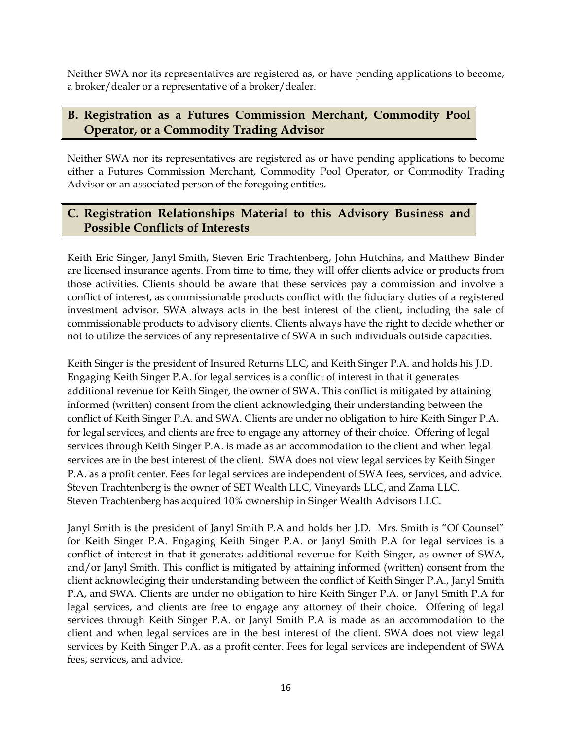Neither SWA nor its representatives are registered as, or have pending applications to become, a broker/dealer or a representative of a broker/dealer.

# <span id="page-15-0"></span>**B. Registration as a Futures Commission Merchant, Commodity Pool Operator, or a Commodity Trading Advisor**

Neither SWA nor its representatives are registered as or have pending applications to become either a Futures Commission Merchant, Commodity Pool Operator, or Commodity Trading Advisor or an associated person of the foregoing entities.

# <span id="page-15-1"></span>**C. Registration Relationships Material to this Advisory Business and Possible Conflicts of Interests**

Keith Eric Singer, Janyl Smith, Steven Eric Trachtenberg, John Hutchins, and Matthew Binder are licensed insurance agents. From time to time, they will offer clients advice or products from those activities. Clients should be aware that these services pay a commission and involve a conflict of interest, as commissionable products conflict with the fiduciary duties of a registered investment advisor. SWA always acts in the best interest of the client, including the sale of commissionable products to advisory clients. Clients always have the right to decide whether or not to utilize the services of any representative of SWA in such individuals outside capacities.

Keith Singer is the president of Insured Returns LLC, and Keith Singer P.A. and holds his J.D. Engaging Keith Singer P.A. for legal services is a conflict of interest in that it generates additional revenue for Keith Singer, the owner of SWA. This conflict is mitigated by attaining informed (written) consent from the client acknowledging their understanding between the conflict of Keith Singer P.A. and SWA. Clients are under no obligation to hire Keith Singer P.A. for legal services, and clients are free to engage any attorney of their choice. Offering of legal services through Keith Singer P.A. is made as an accommodation to the client and when legal services are in the best interest of the client. SWA does not view legal services by Keith Singer P.A. as a profit center. Fees for legal services are independent of SWA fees, services, and advice. Steven Trachtenberg is the owner of SET Wealth LLC, Vineyards LLC, and Zama LLC. Steven Trachtenberg has acquired 10% ownership in Singer Wealth Advisors LLC.

Janyl Smith is the president of Janyl Smith P.A and holds her J.D. Mrs. Smith is "Of Counsel" for Keith Singer P.A. Engaging Keith Singer P.A. or Janyl Smith P.A for legal services is a conflict of interest in that it generates additional revenue for Keith Singer, as owner of SWA, and/or Janyl Smith. This conflict is mitigated by attaining informed (written) consent from the client acknowledging their understanding between the conflict of Keith Singer P.A., Janyl Smith P.A, and SWA. Clients are under no obligation to hire Keith Singer P.A. or Janyl Smith P.A for legal services, and clients are free to engage any attorney of their choice. Offering of legal services through Keith Singer P.A. or Janyl Smith P.A is made as an accommodation to the client and when legal services are in the best interest of the client. SWA does not view legal services by Keith Singer P.A. as a profit center. Fees for legal services are independent of SWA fees, services, and advice.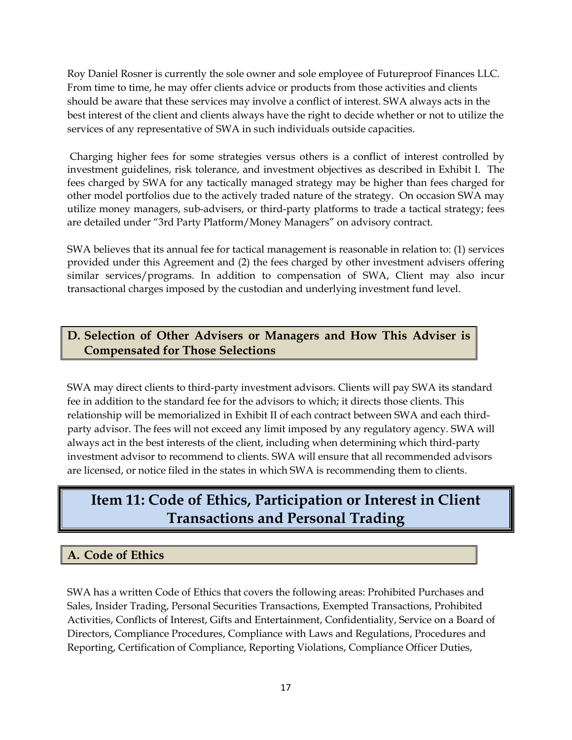Roy Daniel Rosner is currently the sole owner and sole employee of Futureproof Finances LLC. From time to time, he may offer clients advice or products from those activities and clients should be aware that these services may involve a conflict of interest. SWA always acts in the best interest of the client and clients always have the right to decide whether or not to utilize the services of any representative of SWA in such individuals outside capacities.

Charging higher fees for some strategies versus others is a conflict of interest controlled by investment guidelines, risk tolerance, and investment objectives as described in Exhibit I. The fees charged by SWA for any tactically managed strategy may be higher than fees charged for other model portfolios due to the actively traded nature of the strategy. On occasion SWA may utilize money managers, sub-advisers, or third-party platforms to trade a tactical strategy; fees are detailed under "3rd Party Platform/Money Managers" on advisory contract.

SWA believes that its annual fee for tactical management is reasonable in relation to: (1) services provided under this Agreement and (2) the fees charged by other investment advisers offering similar services/programs. In addition to compensation of SWA, Client may also incur transactional charges imposed by the custodian and underlying investment fund level.

# <span id="page-16-0"></span>**D. Selection of Other Advisers or Managers and How This Adviser is Compensated for Those Selections**

SWA may direct clients to third-party investment advisors. Clients will pay SWA its standard fee in addition to the standard fee for the advisors to which; it directs those clients. This relationship will be memorialized in Exhibit II of each contract between SWA and each thirdparty advisor. The fees will not exceed any limit imposed by any regulatory agency. SWA will always act in the best interests of the client, including when determining which third-party investment advisor to recommend to clients. SWA will ensure that all recommended advisors are licensed, or notice filed in the states in which SWA is recommending them to clients.

# <span id="page-16-1"></span>**Item 11: Code of Ethics, Participation or Interest in Client Transactions and Personal Trading**

# <span id="page-16-2"></span>**A. Code of Ethics**

SWA has a written Code of Ethics that covers the following areas: Prohibited Purchases and Sales, Insider Trading, Personal Securities Transactions, Exempted Transactions, Prohibited Activities, Conflicts of Interest, Gifts and Entertainment, Confidentiality, Service on a Board of Directors, Compliance Procedures, Compliance with Laws and Regulations, Procedures and Reporting, Certification of Compliance, Reporting Violations, Compliance Officer Duties,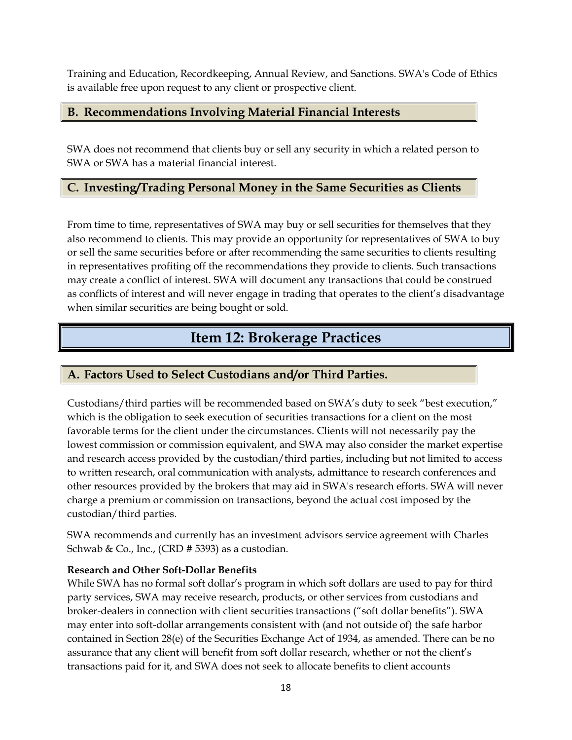Training and Education, Recordkeeping, Annual Review, and Sanctions. SWA's Code of Ethics is available free upon request to any client or prospective client.

# <span id="page-17-0"></span>**B. Recommendations Involving Material Financial Interests**

SWA does not recommend that clients buy or sell any security in which a related person to SWA or SWA has a material financial interest.

# <span id="page-17-1"></span>**C. Investing/Trading Personal Money in the Same Securities as Clients**

From time to time, representatives of SWA may buy or sell securities for themselves that they also recommend to clients. This may provide an opportunity for representatives of SWA to buy or sell the same securities before or after recommending the same securities to clients resulting in representatives profiting off the recommendations they provide to clients. Such transactions may create a conflict of interest. SWA will document any transactions that could be construed as conflicts of interest and will never engage in trading that operates to the client's disadvantage when similar securities are being bought or sold.

# **Item 12: Brokerage Practices**

# <span id="page-17-3"></span><span id="page-17-2"></span>**A. Factors Used to Select Custodians and/or Third Parties.**

Custodians/third parties will be recommended based on SWA's duty to seek "best execution," which is the obligation to seek execution of securities transactions for a client on the most favorable terms for the client under the circumstances. Clients will not necessarily pay the lowest commission or commission equivalent, and SWA may also consider the market expertise and research access provided by the custodian/third parties, including but not limited to access to written research, oral communication with analysts, admittance to research conferences and other resources provided by the brokers that may aid in SWA's research efforts. SWA will never charge a premium or commission on transactions, beyond the actual cost imposed by the custodian/third parties.

SWA recommends and currently has an investment advisors service agreement with Charles Schwab & Co., Inc., (CRD  $# 5393$ ) as a custodian.

### **Research and Other Soft-Dollar Benefits**

While SWA has no formal soft dollar's program in which soft dollars are used to pay for third party services, SWA may receive research, products, or other services from custodians and broker-dealers in connection with client securities transactions ("soft dollar benefits"). SWA may enter into soft-dollar arrangements consistent with (and not outside of) the safe harbor contained in Section 28(e) of the Securities Exchange Act of 1934, as amended. There can be no assurance that any client will benefit from soft dollar research, whether or not the client's transactions paid for it, and SWA does not seek to allocate benefits to client accounts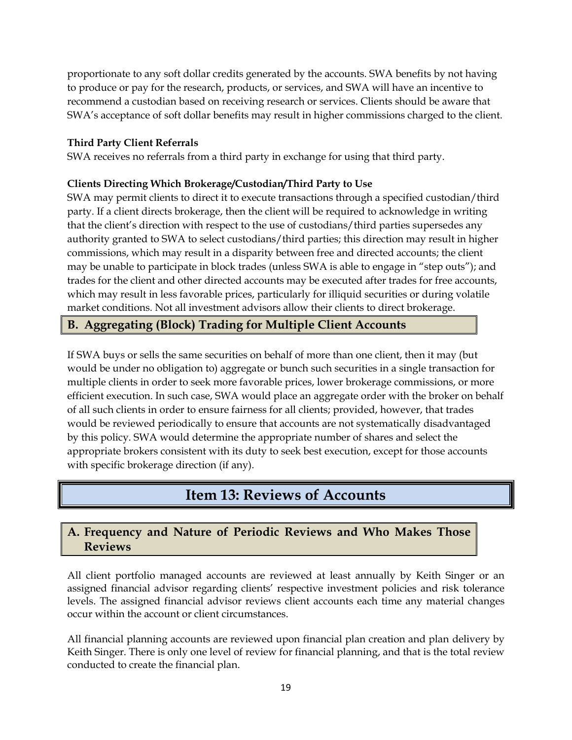proportionate to any soft dollar credits generated by the accounts. SWA benefits by not having to produce or pay for the research, products, or services, and SWA will have an incentive to recommend a custodian based on receiving research or services. Clients should be aware that SWA's acceptance of soft dollar benefits may result in higher commissions charged to the client.

#### **Third Party Client Referrals**

SWA receives no referrals from a third party in exchange for using that third party.

#### **Clients Directing Which Brokerage/Custodian/Third Party to Use**

SWA may permit clients to direct it to execute transactions through a specified custodian/third party. If a client directs brokerage, then the client will be required to acknowledge in writing that the client's direction with respect to the use of custodians/third parties supersedes any authority granted to SWA to select custodians/third parties; this direction may result in higher commissions, which may result in a disparity between free and directed accounts; the client may be unable to participate in block trades (unless SWA is able to engage in "step outs"); and trades for the client and other directed accounts may be executed after trades for free accounts, which may result in less favorable prices, particularly for illiquid securities or during volatile market conditions. Not all investment advisors allow their clients to direct brokerage.

## <span id="page-18-0"></span>**B. Aggregating (Block) Trading for Multiple Client Accounts**

If SWA buys or sells the same securities on behalf of more than one client, then it may (but would be under no obligation to) aggregate or bunch such securities in a single transaction for multiple clients in order to seek more favorable prices, lower brokerage commissions, or more efficient execution. In such case, SWA would place an aggregate order with the broker on behalf of all such clients in order to ensure fairness for all clients; provided, however, that trades would be reviewed periodically to ensure that accounts are not systematically disadvantaged by this policy. SWA would determine the appropriate number of shares and select the appropriate brokers consistent with its duty to seek best execution, except for those accounts with specific brokerage direction (if any).

# **Item 13: Reviews of Accounts**

## <span id="page-18-2"></span><span id="page-18-1"></span>**A. Frequency and Nature of Periodic Reviews and Who Makes Those Reviews**

All client portfolio managed accounts are reviewed at least annually by Keith Singer or an assigned financial advisor regarding clients' respective investment policies and risk tolerance levels. The assigned financial advisor reviews client accounts each time any material changes occur within the account or client circumstances.

All financial planning accounts are reviewed upon financial plan creation and plan delivery by Keith Singer. There is only one level of review for financial planning, and that is the total review conducted to create the financial plan.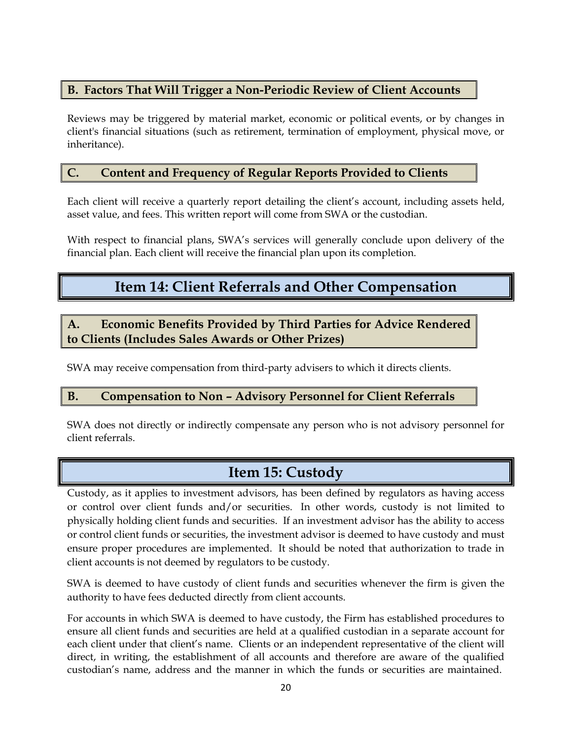### <span id="page-19-0"></span>**B. Factors That Will Trigger a Non-Periodic Review of Client Accounts**

Reviews may be triggered by material market, economic or political events, or by changes in client's financial situations (such as retirement, termination of employment, physical move, or inheritance).

# <span id="page-19-1"></span>**C. Content and Frequency of Regular Reports Provided to Clients**

Each client will receive a quarterly report detailing the client's account, including assets held, asset value, and fees. This written report will come from SWA or the custodian.

<span id="page-19-2"></span>With respect to financial plans, SWA's services will generally conclude upon delivery of the financial plan. Each client will receive the financial plan upon its completion.

# **Item 14: Client Referrals and Other Compensation**

### <span id="page-19-3"></span>**A. Economic Benefits Provided by Third Parties for Advice Rendered to Clients (Includes Sales Awards or Other Prizes)**

SWA may receive compensation from third-party advisers to which it directs clients.

### <span id="page-19-4"></span>**B. Compensation to Non – Advisory Personnel for Client Referrals**

SWA does not directly or indirectly compensate any person who is not advisory personnel for client referrals.

# **Item 15: Custody**

<span id="page-19-5"></span>Custody, as it applies to investment advisors, has been defined by regulators as having access or control over client funds and/or securities. In other words, custody is not limited to physically holding client funds and securities. If an investment advisor has the ability to access or control client funds or securities, the investment advisor is deemed to have custody and must ensure proper procedures are implemented. It should be noted that authorization to trade in client accounts is not deemed by regulators to be custody.

SWA is deemed to have custody of client funds and securities whenever the firm is given the authority to have fees deducted directly from client accounts.

For accounts in which SWA is deemed to have custody, the Firm has established procedures to ensure all client funds and securities are held at a qualified custodian in a separate account for each client under that client's name. Clients or an independent representative of the client will direct, in writing, the establishment of all accounts and therefore are aware of the qualified custodian's name, address and the manner in which the funds or securities are maintained.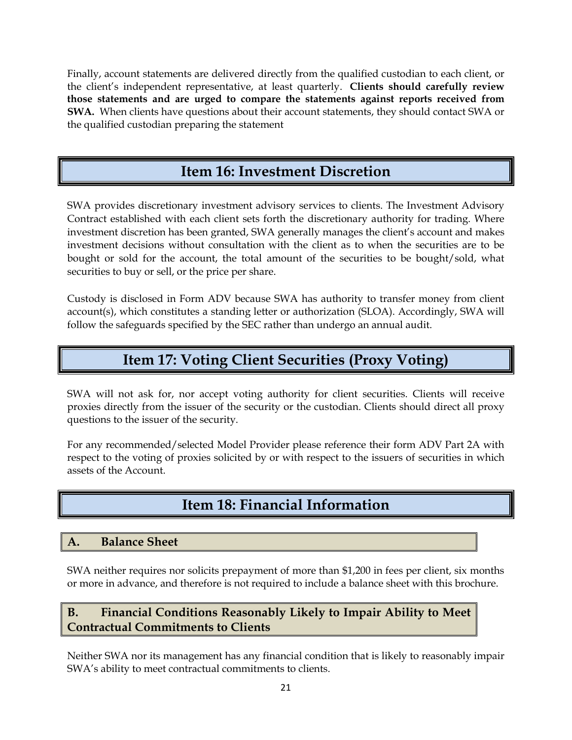Finally, account statements are delivered directly from the qualified custodian to each client, or the client's independent representative, at least quarterly. **Clients should carefully review those statements and are urged to compare the statements against reports received from SWA.** When clients have questions about their account statements, they should contact SWA or the qualified custodian preparing the statement

# **Item 16: Investment Discretion**

<span id="page-20-0"></span>SWA provides discretionary investment advisory services to clients. The Investment Advisory Contract established with each client sets forth the discretionary authority for trading. Where investment discretion has been granted, SWA generally manages the client's account and makes investment decisions without consultation with the client as to when the securities are to be bought or sold for the account, the total amount of the securities to be bought/sold, what securities to buy or sell, or the price per share.

Custody is disclosed in Form ADV because SWA has authority to transfer money from client account(s), which constitutes a standing letter or authorization (SLOA). Accordingly, SWA will follow the safeguards specified by the SEC rather than undergo an annual audit.

# **Item 17: Voting Client Securities (Proxy Voting)**

<span id="page-20-1"></span>SWA will not ask for, nor accept voting authority for client securities. Clients will receive proxies directly from the issuer of the security or the custodian. Clients should direct all proxy questions to the issuer of the security.

For any recommended/selected Model Provider please reference their form ADV Part 2A with respect to the voting of proxies solicited by or with respect to the issuers of securities in which assets of the Account.

# **Item 18: Financial Information**

### <span id="page-20-3"></span><span id="page-20-2"></span>**A. Balance Sheet**

SWA neither requires nor solicits prepayment of more than \$1,200 in fees per client, six months or more in advance, and therefore is not required to include a balance sheet with this brochure.

# <span id="page-20-4"></span>**B. Financial Conditions Reasonably Likely to Impair Ability to Meet Contractual Commitments to Clients**

Neither SWA nor its management has any financial condition that is likely to reasonably impair SWA's ability to meet contractual commitments to clients.